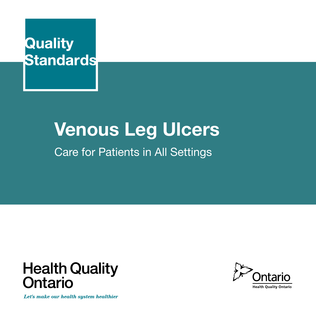

# **Venous Leg Ulcers**

Care for Patients in All Settings



Let's make our health system healthier

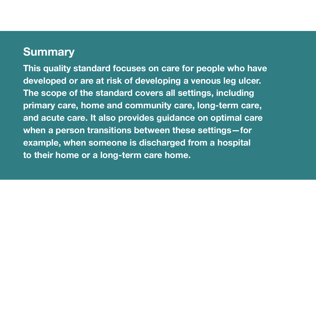# **Summary**

**This quality standard focuses on care for people who have developed or are at risk of developing a venous leg ulcer. The scope of the standard covers all settings, including primary care, home and community care, long-term care, and acute care. It also provides guidance on optimal care when a person transitions between these settings—for example, when someone is discharged from a hospital to their home or a long-term care home.**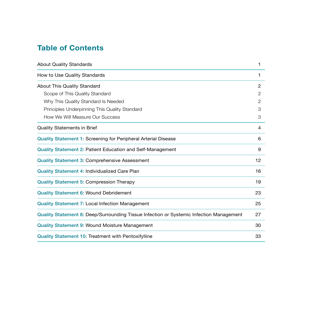# **Table of Contents**

| <b>About Quality Standards</b>                                                          |    |
|-----------------------------------------------------------------------------------------|----|
| How to Use Quality Standards                                                            | 1  |
| About This Quality Standard                                                             | 2  |
| Scope of This Quality Standard                                                          | 2  |
| Why This Quality Standard Is Needed                                                     | 2  |
| Principles Underpinning This Quality Standard                                           | 3  |
| How We Will Measure Our Success                                                         | 3  |
| <b>Quality Statements in Brief</b>                                                      | 4  |
| <b>Quality Statement 1: Screening for Peripheral Arterial Disease</b>                   | 6  |
| <b>Quality Statement 2: Patient Education and Self-Management</b>                       | 9  |
| <b>Quality Statement 3: Comprehensive Assessment</b>                                    | 12 |
| Quality Statement 4: Individualized Care Plan                                           | 16 |
| <b>Quality Statement 5: Compression Therapy</b>                                         | 19 |
| <b>Quality Statement 6: Wound Debridement</b>                                           | 23 |
| <b>Quality Statement 7: Local Infection Management</b>                                  | 25 |
| Quality Statement 8: Deep/Surrounding Tissue Infection or Systemic Infection Management | 27 |
| <b>Quality Statement 9: Wound Moisture Management</b>                                   | 30 |
| <b>Quality Statement 10: Treatment with Pentoxifylline</b>                              | 33 |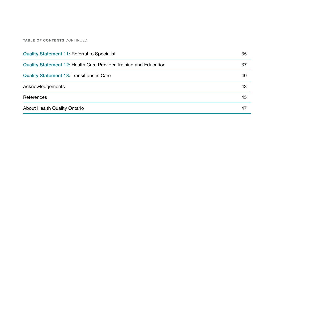#### **TABLE OF CONTENTS** CONTINUED

| <b>Quality Statement 11: Referral to Specialist</b>               | 35 |
|-------------------------------------------------------------------|----|
| Quality Statement 12: Health Care Provider Training and Education | 37 |
| <b>Quality Statement 13: Transitions in Care</b>                  | 40 |
| Acknowledgements                                                  | 43 |
| References                                                        | 45 |
| About Health Quality Ontario                                      | 47 |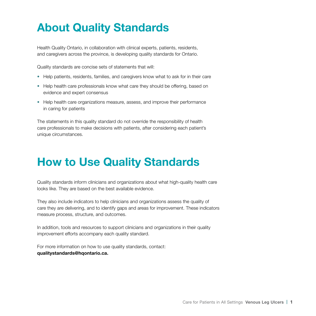# **About Quality Standards**

Health Quality Ontario, in collaboration with clinical experts, patients, residents, and caregivers across the province, is developing quality standards for Ontario.

Quality standards are concise sets of statements that will:

- Help patients, residents, families, and caregivers know what to ask for in their care
- Help health care professionals know what care they should be offering, based on evidence and expert consensus
- Help health care organizations measure, assess, and improve their performance in caring for patients

The statements in this quality standard do not override the responsibility of health care professionals to make decisions with patients, after considering each patient's unique circumstances.

# **How to Use Quality Standards**

Quality standards inform clinicians and organizations about what high-quality health care looks like. They are based on the best available evidence.

They also include indicators to help clinicians and organizations assess the quality of care they are delivering, and to identify gaps and areas for improvement. These indicators measure process, structure, and outcomes.

In addition, tools and resources to support clinicians and organizations in their quality improvement efforts accompany each quality standard.

For more information on how to use quality standards, contact: **qualitystandards@hqontario.ca.**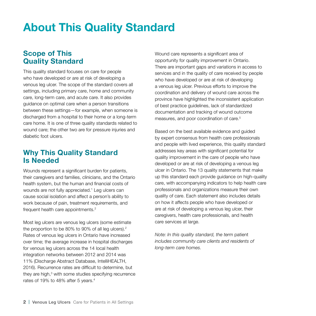# **About This Quality Standard**

## **Scope of This Quality Standard**

This quality standard focuses on care for people who have developed or are at risk of developing a venous leg ulcer. The scope of the standard covers all settings, including primary care, home and community care, long-term care, and acute care. It also provides guidance on optimal care when a person transitions between these settings—for example, when someone is discharged from a hospital to their home or a long-term care home. It is one of three quality standards related to wound care; the other two are for pressure injuries and diabetic foot ulcers.

## **Why This Quality Standard Is Needed**

Wounds represent a significant burden for patients, their caregivers and families, clinicians, and the Ontario health system, but the human and financial costs of wounds are not fully appreciated.<sup>1</sup> Leg ulcers can cause social isolation and affect a person's ability to work because of pain, treatment requirements, and frequent health care appointments.<sup>2</sup>

Most leg ulcers are venous leg ulcers (some estimate the proportion to be 80% to 90% of all leg ulcers).2 Rates of venous leg ulcers in Ontario have increased over time; the average increase in hospital discharges for venous leg ulcers across the 14 local health integration networks between 2012 and 2014 was 11% (Discharge Abstract Database, IntelliHEALTH, 2016). Recurrence rates are difficult to determine, but they are high,<sup>3</sup> with some studies specifying recurrence rates of 19% to 48% after 5 years.<sup>4</sup>

Wound care represents a significant area of opportunity for quality improvement in Ontario. There are important gaps and variations in access to services and in the quality of care received by people who have developed or are at risk of developing a venous leg ulcer. Previous efforts to improve the coordination and delivery of wound care across the province have highlighted the inconsistent application of best practice guidelines, lack of standardized documentation and tracking of wound outcome measures, and poor coordination of care.<sup>5</sup>

Based on the best available evidence and guided by expert consensus from health care professionals and people with lived experience, this quality standard addresses key areas with significant potential for quality improvement in the care of people who have developed or are at risk of developing a venous leg ulcer in Ontario. The 13 quality statements that make up this standard each provide guidance on high-quality care, with accompanying indicators to help health care professionals and organizations measure their own quality of care. Each statement also includes details on how it affects people who have developed or are at risk of developing a venous leg ulcer, their caregivers, health care professionals, and health care services at large.

*Note: In this quality standard, the term* patient *includes community care clients and residents of long-term care homes.*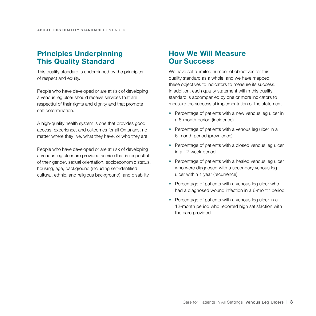## **Principles Underpinning This Quality Standard**

This quality standard is underpinned by the principles of respect and equity.

People who have developed or are at risk of developing a venous leg ulcer should receive services that are respectful of their rights and dignity and that promote self-determination.

A high-quality health system is one that provides good access, experience, and outcomes for all Ontarians, no matter where they live, what they have, or who they are.

People who have developed or are at risk of developing a venous leg ulcer are provided service that is respectful of their gender, sexual orientation, socioeconomic status, housing, age, background (including self-identified cultural, ethnic, and religious background), and disability.

## **How We Will Measure Our Success**

We have set a limited number of objectives for this quality standard as a whole, and we have mapped these objectives to indicators to measure its success. In addition, each quality statement within this quality standard is accompanied by one or more indicators to measure the successful implementation of the statement.

- Percentage of patients with a new venous leg ulcer in a 6-month period (incidence)
- Percentage of patients with a venous leg ulcer in a 6-month period (prevalence)
- Percentage of patients with a closed venous leg ulcer in a 12-week period
- Percentage of patients with a healed venous leg ulcer who were diagnosed with a secondary venous leg ulcer within 1 year (recurrence)
- Percentage of patients with a venous leg ulcer who had a diagnosed wound infection in a 6-month period
- Percentage of patients with a venous leg ulcer in a 12-month period who reported high satisfaction with the care provided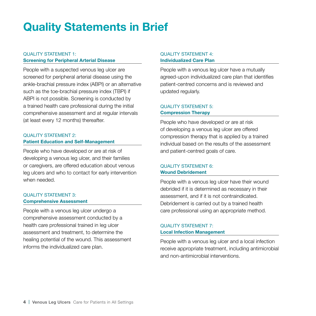# **Quality Statements in Brief**

### QUALITY STATEMENT 1: **Screening for Peripheral Arterial Disease**

People with a suspected venous leg ulcer are screened for peripheral arterial disease using the ankle-brachial pressure index (ABPI) or an alternative such as the toe-brachial pressure index (TBPI) if ABPI is not possible. Screening is conducted by a trained health care professional during the initial comprehensive assessment and at regular intervals (at least every 12 months) thereafter.

### QUALITY STATEMENT 2: **Patient Education and Self-Management**

People who have developed or are at risk of developing a venous leg ulcer, and their families or caregivers, are offered education about venous leg ulcers and who to contact for early intervention when needed.

#### QUALITY STATEMENT 3: **Comprehensive Assessment**

People with a venous leg ulcer undergo a comprehensive assessment conducted by a health care professional trained in leg ulcer assessment and treatment, to determine the healing potential of the wound. This assessment informs the individualized care plan.

#### QUALITY STATEMENT 4: **Individualized Care Plan**

People with a venous leg ulcer have a mutually agreed-upon individualized care plan that identifies patient-centred concerns and is reviewed and updated regularly.

### QUALITY STATEMENT 5: **Compression Therapy**

People who have developed or are at risk of developing a venous leg ulcer are offered compression therapy that is applied by a trained individual based on the results of the assessment and patient-centred goals of care.

### QUALITY STATEMENT 6: **Wound Debridement**

People with a venous leg ulcer have their wound debrided if it is determined as necessary in their assessment, and if it is not contraindicated. Debridement is carried out by a trained health care professional using an appropriate method.

#### QUALITY STATEMENT 7: **Local Infection Management**

People with a venous leg ulcer and a local infection receive appropriate treatment, including antimicrobial and non-antimicrobial interventions.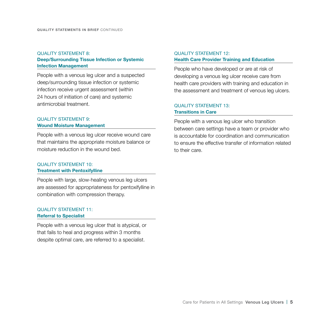### QUALITY STATEMENT 8: **Deep/Surrounding Tissue Infection or Systemic Infection Management**

People with a venous leg ulcer and a suspected deep/surrounding tissue infection or systemic infection receive urgent assessment (within 24 hours of initiation of care) and systemic antimicrobial treatment.

### QUALITY STATEMENT 9: **Wound Moisture Management**

People with a venous leg ulcer receive wound care that maintains the appropriate moisture balance or moisture reduction in the wound bed.

#### QUALITY STATEMENT 10: **Treatment with Pentoxifylline**

People with large, slow-healing venous leg ulcers are assessed for appropriateness for pentoxifylline in combination with compression therapy.

#### QUALITY STATEMENT 11: **Referral to Specialist**

People with a venous leg ulcer that is atypical, or that fails to heal and progress within 3 months despite optimal care, are referred to a specialist.

#### QUALITY STATEMENT 12: **Health Care Provider Training and Education**

People who have developed or are at risk of developing a venous leg ulcer receive care from health care providers with training and education in the assessment and treatment of venous leg ulcers.

### QUALITY STATEMENT 13: **Transitions in Care**

People with a venous leg ulcer who transition between care settings have a team or provider who is accountable for coordination and communication to ensure the effective transfer of information related to their care.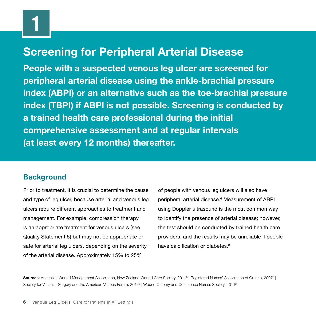# **Screening for Peripheral Arterial Disease**

**People with a suspected venous leg ulcer are screened for peripheral arterial disease using the ankle-brachial pressure index (ABPI) or an alternative such as the toe-brachial pressure index (TBPI) if ABPI is not possible. Screening is conducted by a trained health care professional during the initial comprehensive assessment and at regular intervals (at least every 12 months) thereafter.**

## **Background**

Prior to treatment, it is crucial to determine the cause and type of leg ulcer, because arterial and venous leg ulcers require different approaches to treatment and management. For example, compression therapy is an appropriate treatment for venous ulcers (see Quality Statement 5) but may not be appropriate or safe for arterial leg ulcers, depending on the severity of the arterial disease. Approximately 15% to 25%

of people with venous leg ulcers will also have peripheral arterial disease.6 Measurement of ABPI using Doppler ultrasound is the most common way to identify the presence of arterial disease; however, the test should be conducted by trained health care providers, and the results may be unreliable if people have calcification or diabetes.<sup>3</sup>

Sources: Australian Wound Management Association, New Zealand Wound Care Society, 2011<sup>3</sup> | Registered Nurses' Association of Ontario, 2007<sup>9</sup> | Society for Vascular Surgery and the American Venous Forum, 2014<sup>6</sup> | Wound Ostomy and Continence Nurses Society, 2011<sup>2</sup>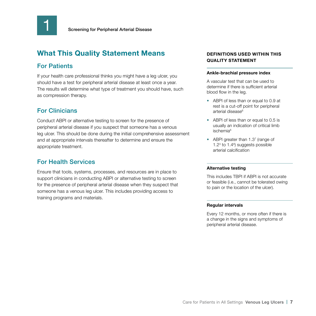

## For Patients

If your health care professional thinks you might have a leg ulcer, you should have a test for peripheral arterial disease at least once a year. The results will determine what type of treatment you should have, such as compression therapy.

## For Clinicians

Conduct ABPI or alternative testing to screen for the presence of peripheral arterial disease if you suspect that someone has a venous leg ulcer. This should be done during the initial comprehensive assessment and at appropriate intervals thereafter to determine and ensure the appropriate treatment.

## For Health Services

Ensure that tools, systems, processes, and resources are in place to support clinicians in conducting ABPI or alternative testing to screen for the presence of peripheral arterial disease when they suspect that someone has a venous leg ulcer. This includes providing access to training programs and materials.

### **DEFINITIONS USED WITHIN THIS QUALITY STATEMENT**

#### **Ankle-brachial pressure index**

A vascular test that can be used to determine if there is sufficient arterial blood flow in the leg.

- ABPI of less than or equal to 0.9 at rest is a cut-off point for peripheral arterial disease<sup>6</sup>
- ABPI of less than or equal to 0.5 is usually an indication of critical limb ischemia<sup>6</sup>
- ABPI greater than 1.37 (range of 1.23 to 1.48 ) suggests possible arterial calcification

#### **Alternative testing**

This includes TBPI if ABPI is not accurate or feasible (i.e., cannot be tolerated owing to pain or the location of the ulcer).

#### **Regular intervals**

Every 12 months, or more often if there is a change in the signs and symptoms of peripheral arterial disease.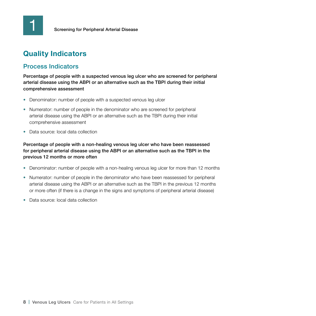# **Quality Indicators**

## Process Indicators

Percentage of people with a suspected venous leg ulcer who are screened for peripheral arterial disease using the ABPI or an alternative such as the TBPI during their initial comprehensive assessment

- Denominator: number of people with a suspected venous leg ulcer
- Numerator: number of people in the denominator who are screened for peripheral arterial disease using the ABPI or an alternative such as the TBPI during their initial comprehensive assessment
- Data source: local data collection

Percentage of people with a non-healing venous leg ulcer who have been reassessed for peripheral arterial disease using the ABPI or an alternative such as the TBPI in the previous 12 months or more often

- Denominator: number of people with a non-healing venous leg ulcer for more than 12 months
- Numerator: number of people in the denominator who have been reassessed for peripheral arterial disease using the ABPI or an alternative such as the TBPI in the previous 12 months or more often (if there is a change in the signs and symptoms of peripheral arterial disease)
- Data source: local data collection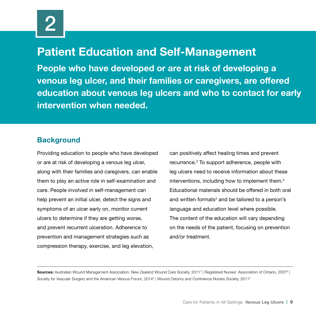# **Patient Education and Self-Management**

**People who have developed or are at risk of developing a venous leg ulcer, and their families or caregivers, are offered education about venous leg ulcers and who to contact for early intervention when needed.**

## **Background**

Providing education to people who have developed or are at risk of developing a venous leg ulcer, along with their families and caregivers, can enable them to play an active role in self-examination and care. People involved in self-management can help prevent an initial ulcer, detect the signs and symptoms of an ulcer early on, monitor current ulcers to determine if they are getting worse, and prevent recurrent ulceration. Adherence to prevention and management strategies such as compression therapy, exercise, and leg elevation,

can positively affect healing times and prevent recurrence.3 To support adherence, people with leg ulcers need to receive information about these interventions, including how to implement them.<sup>3</sup> Educational materials should be offered in both oral and written formats $^{\rm 3}$  and be tailored to a person's language and education level where possible. The content of the education will vary depending on the needs of the patient, focusing on prevention and/or treatment.

**Sources:** Australian Wound Management Association, New Zealand Wound Care Society, 2011<sup>3</sup> | Registered Nurses' Association of Ontario, 2007<sup>9</sup> | Society for Vascular Surgery and the American Venous Forum, 2014<sup>6</sup> | Wound Ostomy and Continence Nurses Society, 2011<sup>2</sup>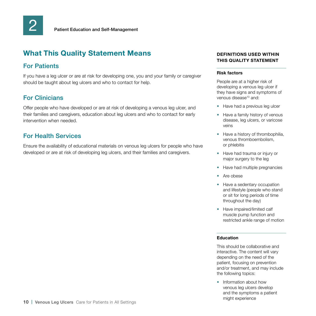## For Patients

If you have a leg ulcer or are at risk for developing one, you and your family or caregiver should be taught about leg ulcers and who to contact for help.

## For Clinicians

Offer people who have developed or are at risk of developing a venous leg ulcer, and their families and caregivers, education about leg ulcers and who to contact for early intervention when needed.

## For Health Services

Ensure the availability of educational materials on venous leg ulcers for people who have developed or are at risk of developing leg ulcers, and their families and caregivers.

### **DEFINITIONS USED WITHIN THIS QUALITY STATEMENT**

#### **Risk factors**

People are at a higher risk of developing a venous leg ulcer if they have signs and symptoms of venous disease<sup>10</sup> and:

- Have had a previous leg ulcer
- Have a family history of venous disease, leg ulcers, or varicose veins
- Have a history of thrombophilia, venous thromboembolism, or phlebitis
- Have had trauma or injury or major surgery to the leg
- Have had multiple pregnancies
- Are obese
- Have a sedentary occupation and lifestyle (people who stand or sit for long periods of time throughout the day)
- Have impaired/limited calf muscle pump function and restricted ankle range of motion

#### **Education**

This should be collaborative and interactive. The content will vary depending on the need of the patient, focusing on prevention and/or treatment, and may include the following topics:

• Information about how venous leg ulcers develop and the symptoms a patient might experience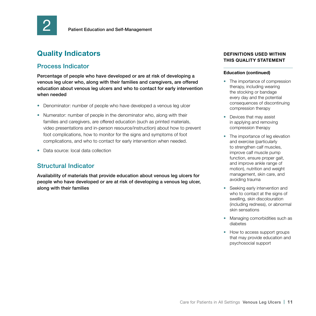

# **Quality Indicators**

### Process Indicator

Percentage of people who have developed or are at risk of developing a venous leg ulcer who, along with their families and caregivers, are offered education about venous leg ulcers and who to contact for early intervention when needed

- Denominator: number of people who have developed a venous leg ulcer
- Numerator: number of people in the denominator who, along with their families and caregivers, are offered education (such as printed materials, video presentations and in-person resource/instruction) about how to prevent foot complications, how to monitor for the signs and symptoms of foot complications, and who to contact for early intervention when needed.
- Data source: local data collection

### Structural Indicator

Availability of materials that provide education about venous leg ulcers for people who have developed or are at risk of developing a venous leg ulcer, along with their families

#### **DEFINITIONS USED WITHIN THIS QUALITY STATEMENT**

#### **Education (continued)**

- The importance of compression therapy, including wearing the stocking or bandage every day and the potential consequences of discontinuing compression therapy
- Devices that may assist in applying and removing compression therapy
- The importance of leg elevation and exercise (particularly to strengthen calf muscles. improve calf muscle pump function, ensure proper gait, and improve ankle range of motion), nutrition and weight management, skin care, and avoiding trauma
- Seeking early intervention and who to contact at the signs of swelling, skin discolouration (including redness), or abnormal skin sensations
- Managing comorbidities such as diabetes
- How to access support groups that may provide education and psychosocial support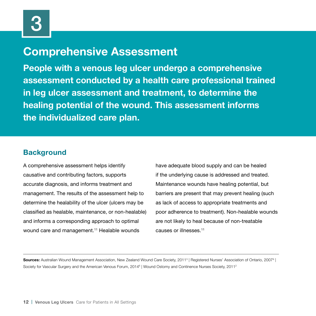# **Comprehensive Assessment**

**People with a venous leg ulcer undergo a comprehensive assessment conducted by a health care professional trained in leg ulcer assessment and treatment, to determine the healing potential of the wound. This assessment informs the individualized care plan.**

## **Background**

A comprehensive assessment helps identify causative and contributing factors, supports accurate diagnosis, and informs treatment and management. The results of the assessment help to determine the healability of the ulcer (ulcers may be classified as healable, maintenance, or non-healable) and informs a corresponding approach to optimal wound care and management.<sup>11</sup> Healable wounds

have adequate blood supply and can be healed if the underlying cause is addressed and treated. Maintenance wounds have healing potential, but barriers are present that may prevent healing (such as lack of access to appropriate treatments and poor adherence to treatment). Non-healable wounds are not likely to heal because of non-treatable causes or illnesses.11

**Sources:** Australian Wound Management Association, New Zealand Wound Care Society, 2011<sup>3</sup> | Registered Nurses' Association of Ontario, 2007<sup>9</sup> | Society for Vascular Surgery and the American Venous Forum, 2014<sup>6</sup> | Wound Ostomy and Continence Nurses Society, 2011<sup>2</sup>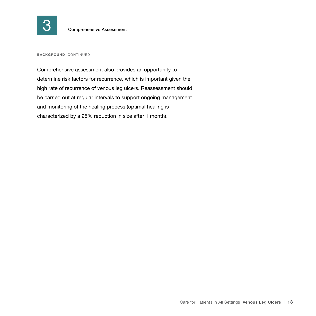

**BACKGROUND** CONTINUED

Comprehensive assessment also provides an opportunity to determine risk factors for recurrence, which is important given the high rate of recurrence of venous leg ulcers. Reassessment should be carried out at regular intervals to support ongoing management and monitoring of the healing process (optimal healing is characterized by a 25% reduction in size after 1 month).<sup>3</sup>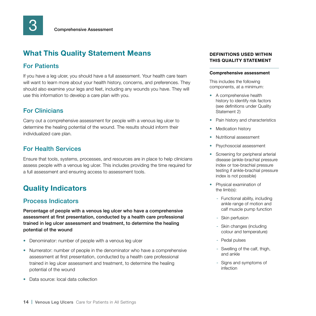## For Patients

If you have a leg ulcer, you should have a full assessment. Your health care team will want to learn more about your health history, concerns, and preferences. They should also examine your legs and feet, including any wounds you have. They will use this information to develop a care plan with you.

## For Clinicians

Carry out a comprehensive assessment for people with a venous leg ulcer to determine the healing potential of the wound. The results should inform their individualized care plan.

### For Health Services

Ensure that tools, systems, processes, and resources are in place to help clinicians assess people with a venous leg ulcer. This includes providing the time required for a full assessment and ensuring access to assessment tools.

## **Quality Indicators**

### Process Indicators

Percentage of people with a venous leg ulcer who have a comprehensive assessment at first presentation, conducted by a health care professional trained in leg ulcer assessment and treatment, to determine the healing potential of the wound

- Denominator: number of people with a venous leg ulcer
- Numerator: number of people in the denominator who have a comprehensive assessment at first presentation, conducted by a health care professional trained in leg ulcer assessment and treatment, to determine the healing potential of the wound
- Data source: local data collection

#### **DEFINITIONS USED WITHIN THIS QUALITY STATEMENT**

#### **Comprehensive assessment**

This includes the following components, at a minimum:

- A comprehensive health history to identify risk factors (see definitions under Quality Statement 2)
- Pain history and characteristics
- Medication history
- Nutritional assessment
- Psychosocial assessment
- Screening for peripheral arterial disease (ankle-brachial pressure index or toe-brachial pressure testing if ankle-brachial pressure index is not possible)
- Physical examination of the limb(s):
	- Functional ability, including ankle range of motion and calf muscle pump function
	- Skin perfusion
	- Skin changes (including colour and temperature)
	- Pedal pulses
	- Swelling of the calf, thigh, and ankle
	- Signs and symptoms of infection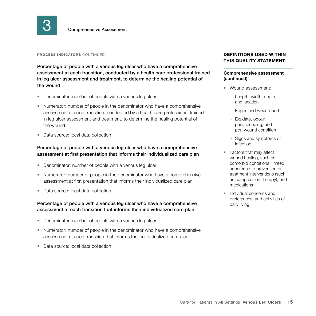

#### **PROCESS INDICATORS** CONTINUED

Percentage of people with a venous leg ulcer who have a comprehensive assessment at each transition, conducted by a health care professional trained in leg ulcer assessment and treatment, to determine the healing potential of the wound

- Denominator: number of people with a venous leg ulcer
- Numerator: number of people in the denominator who have a comprehensive assessment at each transition, conducted by a health care professional trained in leg ulcer assessment and treatment, to determine the healing potential of the wound
- Data source: local data collection

#### Percentage of people with a venous leg ulcer who have a comprehensive assessment at first presentation that informs their individualized care plan

- Denominator: number of people with a venous leg ulcer
- Numerator: number of people in the denominator who have a comprehensive assessment at first presentation that informs their individualized care plan
- Data source: local data collection

#### Percentage of people with a venous leg ulcer who have a comprehensive assessment at each transition that informs their individualized care plan

- Denominator: number of people with a venous leg ulcer
- Numerator: number of people in the denominator who have a comprehensive assessment at each transition that informs their individualized care plan
- Data source: local data collection

#### **DEFINITIONS USED WITHIN THIS QUALITY STATEMENT**

#### **Comprehensive assessment (continued)**

- Wound assessment:
	- Length, width, depth, and location
	- Edges and wound bed
	- Exudate, odour, pain, bleeding, and peri-wound condition
	- Signs and symptoms of infection
- Factors that may affect wound healing, such as comorbid conditions, limited adherence to prevention or treatment interventions (such as compression therapy), and medications
- Individual concerns and preferences, and activities of daily living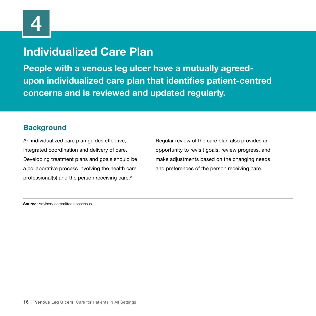# **Individualized Care Plan**

**People with a venous leg ulcer have a mutually agreedupon individualized care plan that identifies patient-centred concerns and is reviewed and updated regularly.**

## **Background**

An individualized care plan guides effective, integrated coordination and delivery of care. Developing treatment plans and goals should be a collaborative process involving the health care professional(s) and the person receiving care.9

Regular review of the care plan also provides an opportunity to revisit goals, review progress, and make adjustments based on the changing needs and preferences of the person receiving care.

**Source:** Advisory committee consensus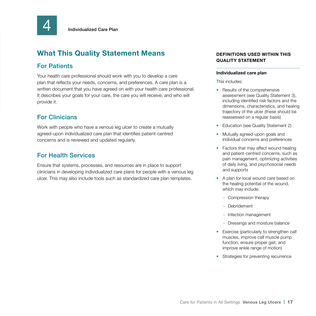

## For Patients

Your health care professional should work with you to develop a care plan that reflects your needs, concerns, and preferences. A care plan is a written document that you have agreed on with your health care professional. It describes your goals for your care, the care you will receive, and who will provide it.

## For Clinicians

Work with people who have a venous leg ulcer to create a mutually agreed-upon individualized care plan that identifies patient-centred concerns and is reviewed and updated regularly.

## For Health Services

Ensure that systems, processes, and resources are in place to support clinicians in developing individualized care plans for people with a venous leg ulcer. This may also include tools such as standardized care plan templates.

### **DEFINITIONS USED WITHIN THIS QUALITY STATEMENT**

#### **Individualized care plan**

This includes:

- Results of the comprehensive assessment (see Quality Statement 3), including identified risk factors and the dimensions, characteristics, and healing trajectory of the ulcer (these should be reassessed on a regular basis)
- Education (see Quality Statement 2)
- Mutually agreed-upon goals and individual concerns and preferences
- Factors that may affect wound healing and patient-centred concerns, such as pain management, optimizing activities of daily living, and psychosocial needs and supports
- A plan for local wound care based on the healing potential of the wound, which may include:
	- Compression therapy
	- Debridement
	- Infection management
	- Dressings and moisture balance
- Exercise (particularly to strengthen calf muscles, improve calf muscle pump function, ensure proper gait, and improve ankle range of motion)
- Strategies for preventing recurrence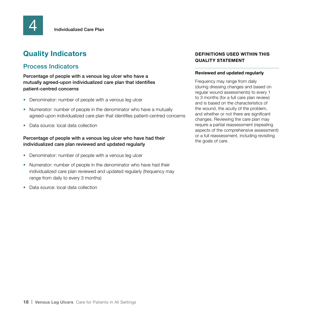# **Quality Indicators**

## Process Indicators

Percentage of people with a venous leg ulcer who have a mutually agreed-upon individualized care plan that identifies patient-centred concerns

- Denominator: number of people with a venous leg ulcer
- Numerator: number of people in the denominator who have a mutually agreed-upon individualized care plan that identifies patient-centred concerns
- Data source: local data collection

#### Percentage of people with a venous leg ulcer who have had their individualized care plan reviewed and updated regularly

- Denominator: number of people with a venous leg ulcer
- Numerator: number of people in the denominator who have had their individualized care plan reviewed and updated regularly (frequency may range from daily to every 3 months)
- Data source: local data collection

#### **DEFINITIONS USED WITHIN THIS QUALITY STATEMENT**

#### **Reviewed and updated regularly**

Frequency may range from daily (during dressing changes and based on regular wound assessments) to every 1 to 3 months (for a full care plan review) and is based on the characteristics of the wound, the acuity of the problem, and whether or not there are significant changes. Reviewing the care plan may require a partial reassessment (repeating aspects of the comprehensive assessment) or a full reassessment, including revisiting the goals of care.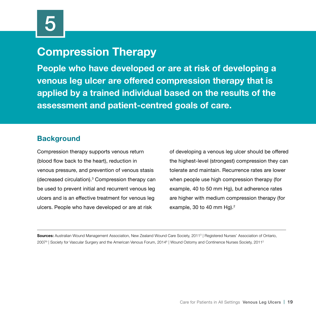# **Compression Therapy**

**People who have developed or are at risk of developing a venous leg ulcer are offered compression therapy that is applied by a trained individual based on the results of the assessment and patient-centred goals of care.**

## **Background**

Compression therapy supports venous return (blood flow back to the heart), reduction in venous pressure, and prevention of venous stasis (decreased circulation).3 Compression therapy can be used to prevent initial and recurrent venous leg ulcers and is an effective treatment for venous leg ulcers. People who have developed or are at risk

of developing a venous leg ulcer should be offered the highest-level (strongest) compression they can tolerate and maintain. Recurrence rates are lower when people use high compression therapy (for example, 40 to 50 mm Hg), but adherence rates are higher with medium compression therapy (for example, 30 to 40 mm Hg). $2^2$ 

**Sources:** Australian Wound Management Association, New Zealand Wound Care Society, 2011<sup>3</sup> | Registered Nurses' Association of Ontario, 2007<sup>9</sup> | Society for Vascular Surgery and the American Venous Forum, 2014<sup>6</sup> | Wound Ostomy and Continence Nurses Society, 2011<sup>2</sup>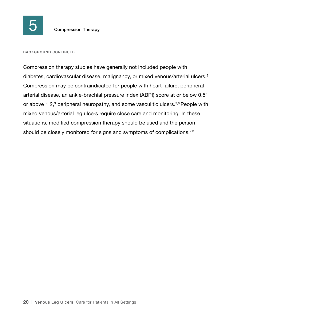

#### **BACKGROUND** CONTINUED

Compression therapy studies have generally not included people with diabetes, cardiovascular disease, malignancy, or mixed venous/arterial ulcers.<sup>3</sup> Compression may be contraindicated for people with heart failure, peripheral arterial disease, an ankle-brachial pressure index (ABPI) score at or below 0.56 or above 1.2,<sup>3</sup> peripheral neuropathy, and some vasculitic ulcers.<sup>3,6</sup> People with mixed venous/arterial leg ulcers require close care and monitoring. In these situations, modified compression therapy should be used and the person should be closely monitored for signs and symptoms of complications.<sup>2,3</sup>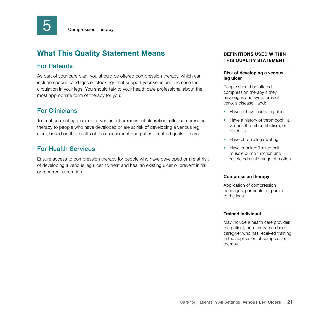

## For Patients

As part of your care plan, you should be offered compression therapy, which can include special bandages or stockings that support your veins and increase the circulation in your legs. You should talk to your health care professional about the most appropriate form of therapy for you.

## For Clinicians

To treat an existing ulcer or prevent initial or recurrent ulceration, offer compression therapy to people who have developed or are at risk of developing a venous leg ulcer, based on the results of the assessment and patient-centred goals of care.

## For Health Services

Ensure access to compression therapy for people who have developed or are at risk of developing a venous leg ulcer, to treat and heal an existing ulcer or prevent initial or recurrent ulceration.

### **DEFINITIONS USED WITHIN THIS QUALITY STATEMENT**

#### **Risk of developing a venous leg ulcer**

People should be offered compression therapy if they have signs and symptoms of venous disease<sup>10</sup> and:

- Have or have had a leg ulcer
- Have a history of thrombophilia, venous thromboembolism, or phlebitis
- Have chronic leg swelling
- Have impaired/limited calf muscle pump function and restricted ankle range of motion

#### **Compression therapy**

Application of compression bandages, garments, or pumps to the legs.

#### **Trained individual**

May include a health care provider, the patient, or a family member/ caregiver who has received training in the application of compression therapy.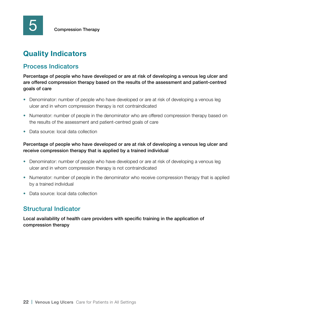# **Quality Indicators**

## Process Indicators

Percentage of people who have developed or are at risk of developing a venous leg ulcer and are offered compression therapy based on the results of the assessment and patient-centred goals of care

- Denominator: number of people who have developed or are at risk of developing a venous leg ulcer and in whom compression therapy is not contraindicated
- Numerator: number of people in the denominator who are offered compression therapy based on the results of the assessment and patient-centred goals of care
- Data source: local data collection

### Percentage of people who have developed or are at risk of developing a venous leg ulcer and receive compression therapy that is applied by a trained individual

- Denominator: number of people who have developed or are at risk of developing a venous leg ulcer and in whom compression therapy is not contraindicated
- Numerator: number of people in the denominator who receive compression therapy that is applied by a trained individual
- Data source: local data collection

## Structural Indicator

Local availability of health care providers with specific training in the application of compression therapy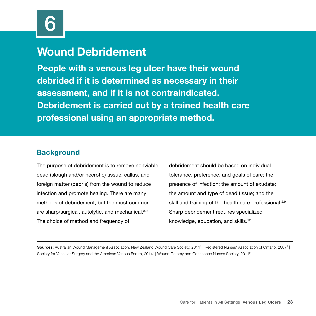# **Wound Debridement**

**People with a venous leg ulcer have their wound debrided if it is determined as necessary in their assessment, and if it is not contraindicated. Debridement is carried out by a trained health care professional using an appropriate method.**

## **Background**

The purpose of debridement is to remove nonviable, dead (slough and/or necrotic) tissue, callus, and foreign matter (debris) from the wound to reduce infection and promote healing. There are many methods of debridement, but the most common are sharp/surgical, autolytic, and mechanical.<sup>3,9</sup> The choice of method and frequency of

debridement should be based on individual tolerance, preference, and goals of care; the presence of infection; the amount of exudate; the amount and type of dead tissue; and the skill and training of the health care professional.<sup>2,9</sup> Sharp debridement requires specialized knowledge, education, and skills.12

**Sources:** Australian Wound Management Association, New Zealand Wound Care Society, 2011<sup>3</sup> | Registered Nurses' Association of Ontario, 2007<sup>9</sup> | Society for Vascular Surgery and the American Venous Forum, 2014<sup>6</sup> | Wound Ostomy and Continence Nurses Society, 2011<sup>2</sup>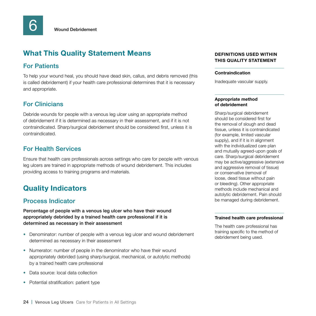## For Patients

To help your wound heal, you should have dead skin, callus, and debris removed (this is called debridement) if your health care professional determines that it is necessary and appropriate.

## For Clinicians

Debride wounds for people with a venous leg ulcer using an appropriate method of debridement if it is determined as necessary in their assessment, and if it is not contraindicated. Sharp/surgical debridement should be considered first, unless it is contraindicated.

### For Health Services

Ensure that health care professionals across settings who care for people with venous leg ulcers are trained in appropriate methods of wound debridement. This includes providing access to training programs and materials.

## **Quality Indicators**

### Process Indicator

Percentage of people with a venous leg ulcer who have their wound appropriately debrided by a trained health care professional if it is determined as necessary in their assessment

- Denominator: number of people with a venous leg ulcer and wound debridement determined as necessary in their assessment
- Numerator: number of people in the denominator who have their wound appropriately debrided (using sharp/surgical, mechanical, or autolytic methods) by a trained health care professional
- Data source: local data collection
- Potential stratification: patient type

### **DEFINITIONS USED WITHIN THIS QUALITY STATEMENT**

#### **Contraindication**

Inadequate vascular supply.

#### **Appropriate method of debridement**

Sharp/surgical debridement should be considered first for the removal of slough and dead tissue, unless it is contraindicated (for example, limited vascular supply), and if it is in alignment with the individualized care plan and mutually agreed-upon goals of care. Sharp/surgical debridement may be active/aggressive (extensive and aggressive removal of tissue) or conservative (removal of loose, dead tissue without pain or bleeding). Other appropriate methods include mechanical and autolytic debridement. Pain should be managed during debridement.

#### **Trained health care professional**

The health care professional has training specific to the method of debridement being used.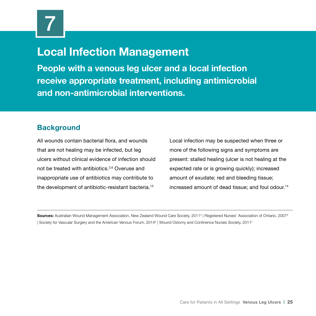# **Local Infection Management**

**People with a venous leg ulcer and a local infection receive appropriate treatment, including antimicrobial and non-antimicrobial interventions.**

## **Background**

All wounds contain bacterial flora, and wounds that are not healing may be infected, but leg ulcers without clinical evidence of infection should not be treated with antibiotics.2,6 Overuse and inappropriate use of antibiotics may contribute to the development of antibiotic-resistant bacteria.13

Local infection may be suspected when three or more of the following signs and symptoms are present: stalled healing (ulcer is not healing at the expected rate or is growing quickly); increased amount of exudate; red and bleeding tissue; increased amount of dead tissue; and foul odour.<sup>14</sup>

**Sources:** Australian Wound Management Association, New Zealand Wound Care Society, 20113 | Registered Nurses' Association of Ontario, 20079 Society for Vascular Surgery and the American Venous Forum, 2014<sup>6</sup> | Wound Ostomy and Continence Nurses Society, 2011<sup>2</sup>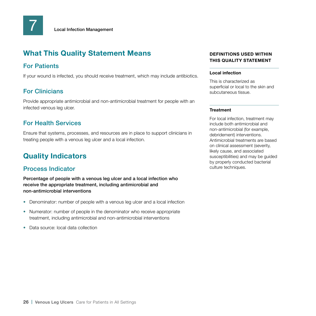## For Patients

If your wound is infected, you should receive treatment, which may include antibiotics.

## For Clinicians

Provide appropriate antimicrobial and non-antimicrobial treatment for people with an infected venous leg ulcer.

## For Health Services

Ensure that systems, processes, and resources are in place to support clinicians in treating people with a venous leg ulcer and a local infection.

## **Quality Indicators**

## Process Indicator

Percentage of people with a venous leg ulcer and a local infection who receive the appropriate treatment, including antimicrobial and non-antimicrobial interventions

- Denominator: number of people with a venous leg ulcer and a local infection
- Numerator: number of people in the denominator who receive appropriate treatment, including antimicrobial and non-antimicrobial interventions
- Data source: local data collection

### **DEFINITIONS USED WITHIN THIS QUALITY STATEMENT**

#### **Local infection**

This is characterized as superficial or local to the skin and subcutaneous tissue.

#### **Treatment**

For local infection, treatment may include both antimicrobial and non-antimicrobial (for example, debridement) interventions. Antimicrobial treatments are based on clinical assessment (severity, likely cause, and associated susceptibilities) and may be guided by properly conducted bacterial culture techniques.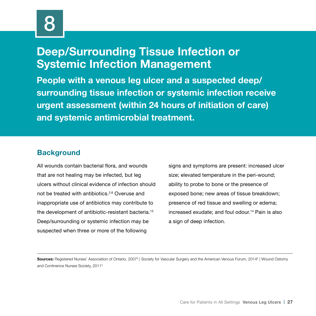# **Deep/Surrounding Tissue Infection or Systemic Infection Management**

**People with a venous leg ulcer and a suspected deep/ surrounding tissue infection or systemic infection receive urgent assessment (within 24 hours of initiation of care) and systemic antimicrobial treatment.**

## **Background**

All wounds contain bacterial flora, and wounds that are not healing may be infected, but leg ulcers without clinical evidence of infection should not be treated with antibiotics.2,6 Overuse and inappropriate use of antibiotics may contribute to the development of antibiotic-resistant bacteria.13 Deep/surrounding or systemic infection may be suspected when three or more of the following

signs and symptoms are present: increased ulcer size; elevated temperature in the peri-wound; ability to probe to bone or the presence of exposed bone; new areas of tissue breakdown; presence of red tissue and swelling or edema; increased exudate; and foul odour.<sup>14</sup> Pain is also a sign of deep infection.

**Sources:** Registered Nurses' Association of Ontario, 2007<sup>9</sup> | Society for Vascular Surgery and the American Venous Forum, 2014<sup>6</sup> | Wound Ostomy and Continence Nurses Society, 20112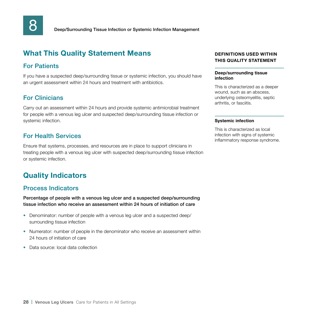

## For Patients

If you have a suspected deep/surrounding tissue or systemic infection, you should have an urgent assessment within 24 hours and treatment with antibiotics.

## For Clinicians

Carry out an assessment within 24 hours and provide systemic antimicrobial treatment for people with a venous leg ulcer and suspected deep/surrounding tissue infection or systemic infection.

## For Health Services

Ensure that systems, processes, and resources are in place to support clinicians in treating people with a venous leg ulcer with suspected deep/surrounding tissue infection or systemic infection.

# **Quality Indicators**

### Process Indicators

Percentage of people with a venous leg ulcer and a suspected deep/surrounding tissue infection who receive an assessment within 24 hours of initiation of care

- Denominator: number of people with a venous leg ulcer and a suspected deep/ surrounding tissue infection
- Numerator: number of people in the denominator who receive an assessment within 24 hours of initiation of care
- Data source: local data collection

#### **DEFINITIONS USED WITHIN THIS QUALITY STATEMENT**

#### **Deep/surrounding tissue infection**

This is characterized as a deeper wound, such as an abscess, underlying osteomyelitis, septic arthritis, or fasciitis.

#### **Systemic infection**

This is characterized as local infection with signs of systemic inflammatory response syndrome.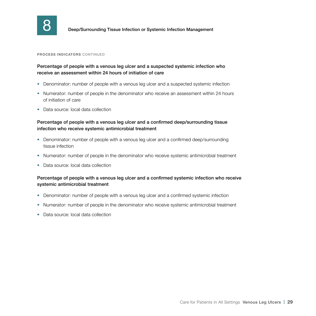

**8 Deep/Surrounding Tissue Infection or Systemic Infection Management** 

#### **PROCESS INDICATORS** CONTINUED

#### Percentage of people with a venous leg ulcer and a suspected systemic infection who receive an assessment within 24 hours of initiation of care

- Denominator: number of people with a venous leg ulcer and a suspected systemic infection
- Numerator: number of people in the denominator who receive an assessment within 24 hours of initiation of care
- Data source: local data collection

#### Percentage of people with a venous leg ulcer and a confirmed deep/surrounding tissue infection who receive systemic antimicrobial treatment

- Denominator: number of people with a venous leg ulcer and a confirmed deep/surrounding tissue infection
- Numerator: number of people in the denominator who receive systemic antimicrobial treatment
- Data source: local data collection

#### Percentage of people with a venous leg ulcer and a confirmed systemic infection who receive systemic antimicrobial treatment

- Denominator: number of people with a venous leg ulcer and a confirmed systemic infection
- Numerator: number of people in the denominator who receive systemic antimicrobial treatment
- Data source: local data collection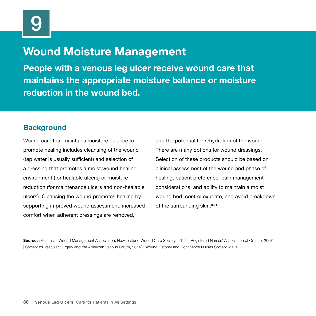# **Wound Moisture Management**

**People with a venous leg ulcer receive wound care that maintains the appropriate moisture balance or moisture reduction in the wound bed.**

## **Background**

Wound care that maintains moisture balance to promote healing includes cleansing of the wound (tap water is usually sufficient) and selection of a dressing that promotes a moist wound healing environment (for healable ulcers) or moisture reduction (for maintenance ulcers and non-healable ulcers). Cleansing the wound promotes healing by supporting improved wound assessment, increased comfort when adherent dressings are removed,

and the potential for rehydration of the wound.<sup>11</sup> There are many options for wound dressings. Selection of these products should be based on clinical assessment of the wound and phase of healing; patient preference; pain management considerations; and ability to maintain a moist wound bed, control exudate, and avoid breakdown of the surrounding skin.<sup>9,11</sup>

**Sources:** Australian Wound Management Association, New Zealand Wound Care Society, 20113 | Registered Nurses' Association of Ontario, 20079 Society for Vascular Surgery and the American Venous Forum, 2014<sup>6</sup> | Wound Ostomy and Continence Nurses Society, 2011<sup>2</sup>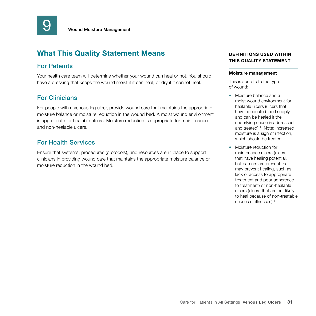

## For Patients

Your health care team will determine whether your wound can heal or not. You should have a dressing that keeps the wound moist if it can heal, or dry if it cannot heal.

## For Clinicians

For people with a venous leg ulcer, provide wound care that maintains the appropriate moisture balance or moisture reduction in the wound bed. A moist wound environment is appropriate for healable ulcers. Moisture reduction is appropriate for maintenance and non-healable ulcers.

## For Health Services

Ensure that systems, procedures (protocols), and resources are in place to support clinicians in providing wound care that maintains the appropriate moisture balance or moisture reduction in the wound bed.

#### **DEFINITIONS USED WITHIN THIS QUALITY STATEMENT**

#### **Moisture management**

This is specific to the type of wound:

- Moisture balance and a moist wound environment for healable ulcers (ulcers that have adequate blood supply and can be healed if the underlying cause is addressed and treated).11 Note: increased moisture is a sign of infection, which should be treated.
- Moisture reduction for maintenance ulcers (ulcers that have healing potential, but barriers are present that may prevent healing, such as lack of access to appropriate treatment and poor adherence to treatment) or non-healable ulcers (ulcers that are not likely to heal because of non-treatable causes or illnesses).11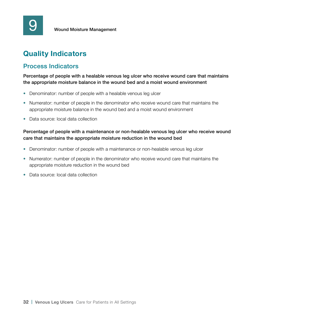# **Quality Indicators**

## Process Indicators

Percentage of people with a healable venous leg ulcer who receive wound care that maintains the appropriate moisture balance in the wound bed and a moist wound environment

- Denominator: number of people with a healable venous leg ulcer
- Numerator: number of people in the denominator who receive wound care that maintains the appropriate moisture balance in the wound bed and a moist wound environment
- Data source: local data collection

### Percentage of people with a maintenance or non-healable venous leg ulcer who receive wound care that maintains the appropriate moisture reduction in the wound bed

- Denominator: number of people with a maintenance or non-healable venous leg ulcer
- Numerator: number of people in the denominator who receive wound care that maintains the appropriate moisture reduction in the wound bed
- Data source: local data collection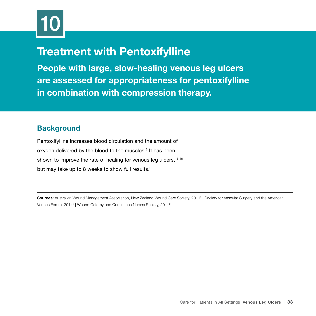

# **Treatment with Pentoxifylline**

**People with large, slow-healing venous leg ulcers are assessed for appropriateness for pentoxifylline in combination with compression therapy.**

## **Background**

Pentoxifylline increases blood circulation and the amount of oxygen delivered by the blood to the muscles.<sup>3</sup> It has been shown to improve the rate of healing for venous leg ulcers, 15,16 but may take up to 8 weeks to show full results.<sup>3</sup>

**Sources:** Australian Wound Management Association, New Zealand Wound Care Society, 2011<sup>3</sup> | Society for Vascular Surgery and the American Venous Forum, 2014<sup>6</sup> | Wound Ostomy and Continence Nurses Society, 2011<sup>2</sup>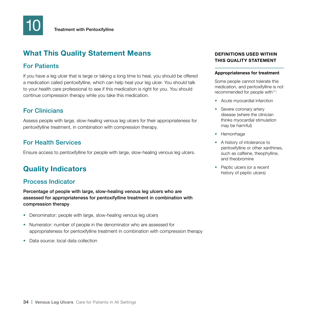## For Patients

If you have a leg ulcer that is large or taking a long time to heal, you should be offered a medication called pentoxifylline, which can help heal your leg ulcer. You should talk to your health care professional to see if this medication is right for you. You should continue compression therapy while you take this medication.

## For Clinicians

Assess people with large, slow-healing venous leg ulcers for their appropriateness for pentoxifylline treatment, in combination with compression therapy.

## For Health Services

Ensure access to pentoxifylline for people with large, slow-healing venous leg ulcers.

## **Quality Indicators**

### Process Indicator

Percentage of people with large, slow-healing venous leg ulcers who are assessed for appropriateness for pentoxifylline treatment in combination with compression therapy

- Denominator: people with large, slow-healing venous leg ulcers
- Numerator: number of people in the denominator who are assessed for appropriateness for pentoxifylline treatment in combination with compression therapy
- Data source: local data collection

#### **DEFINITIONS USED WITHIN THIS QUALITY STATEMENT**

#### **Appropriateness for treatment**

Some people cannot tolerate this medication, and pentoxifylline is not recommended for people with<sup>17</sup>:

- Acute myocardial infarction
- Severe coronary artery disease (where the clinician thinks myocardial stimulation may be harmful)
- Hemorrhage
- A history of intolerance to pentoxifylline or other xanthines, such as caffeine, theophylline, and theobromine
- Peptic ulcers (or a recent history of peptic ulcers)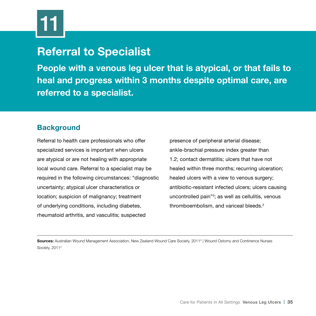# **Referral to Specialist**

**People with a venous leg ulcer that is atypical, or that fails to heal and progress within 3 months despite optimal care, are referred to a specialist.**

## **Background**

Referral to health care professionals who offer specialized services is important when ulcers are atypical or are not healing with appropriate local wound care. Referral to a specialist may be required in the following circumstances: "diagnostic uncertainty; atypical ulcer characteristics or location; suspicion of malignancy; treatment of underlying conditions, including diabetes, rheumatoid arthritis, and vasculitis; suspected

presence of peripheral arterial disease; ankle-brachial pressure index greater than 1.2; contact dermatitis; ulcers that have not healed within three months; recurring ulceration; healed ulcers with a view to venous surgery; antibiotic-resistant infected ulcers; ulcers causing uncontrolled pain"3 ; as well as cellulitis, venous thromboembolism, and variceal bleeds.<sup>2</sup>

**Sources:** Australian Wound Management Association, New Zealand Wound Care Society, 20113 | Wound Ostomy and Continence Nurses Society, 2011<sup>2</sup>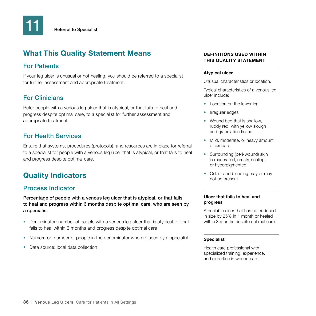## For Patients

If your leg ulcer is unusual or not healing, you should be referred to a specialist for further assessment and appropriate treatment.

## For Clinicians

Refer people with a venous leg ulcer that is atypical, or that fails to heal and progress despite optimal care, to a specialist for further assessment and appropriate treatment.

## For Health Services

Ensure that systems, procedures (protocols), and resources are in place for referral to a specialist for people with a venous leg ulcer that is atypical, or that fails to heal and progress despite optimal care.

# **Quality Indicators**

## Process Indicator

Percentage of people with a venous leg ulcer that is atypical, or that fails to heal and progress within 3 months despite optimal care, who are seen by a specialist

- Denominator: number of people with a venous leg ulcer that is atypical, or that fails to heal within 3 months and progress despite optimal care
- Numerator: number of people in the denominator who are seen by a specialist
- Data source: local data collection

### **DEFINITIONS USED WITHIN THIS QUALITY STATEMENT**

#### **Atypical ulcer**

Unusual characteristics or location.

Typical characteristics of a venous leg ulcer include:

- Location on the lower leg
- Irregular edges
- Wound bed that is shallow. ruddy red, with yellow slough and granulation tissue
- Mild, moderate, or heavy amount of exudate
- Surrounding (peri-wound) skin is macerated, crusty, scaling, or hyperpigmented
- Odour and bleeding may or may not be present

#### **Ulcer that fails to heal and progress**

A healable ulcer that has not reduced in size by 25% in 1 month or healed within 3 months despite optimal care.

#### **Specialist**

Health care professional with specialized training, experience, and expertise in wound care.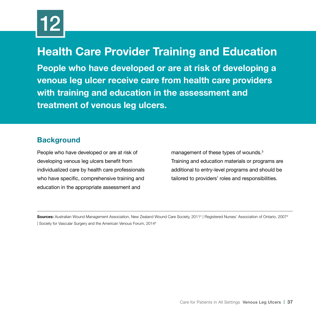

# **Health Care Provider Training and Education**

**People who have developed or are at risk of developing a venous leg ulcer receive care from health care providers with training and education in the assessment and treatment of venous leg ulcers.**

## **Background**

People who have developed or are at risk of developing venous leg ulcers benefit from individualized care by health care professionals who have specific, comprehensive training and education in the appropriate assessment and

management of these types of wounds.3 Training and education materials or programs are additional to entry-level programs and should be tailored to providers' roles and responsibilities.

**Sources:** Australian Wound Management Association, New Zealand Wound Care Society, 20113 | Registered Nurses' Association of Ontario, 20079 | Society for Vascular Surgery and the American Venous Forum, 20146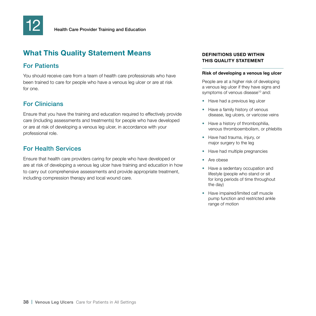

## For Patients

You should receive care from a team of health care professionals who have been trained to care for people who have a venous leg ulcer or are at risk for one.

## For Clinicians

Ensure that you have the training and education required to effectively provide care (including assessments and treatments) for people who have developed or are at risk of developing a venous leg ulcer, in accordance with your professional role.

## For Health Services

Ensure that health care providers caring for people who have developed or are at risk of developing a venous leg ulcer have training and education in how to carry out comprehensive assessments and provide appropriate treatment, including compression therapy and local wound care.

### **DEFINITIONS USED WITHIN THIS QUALITY STATEMENT**

#### **Risk of developing a venous leg ulcer**

People are at a higher risk of developing a venous leg ulcer if they have signs and symptoms of venous disease<sup>10</sup> and:

- Have had a previous leg ulcer
- Have a family history of venous disease, leg ulcers, or varicose veins
- Have a history of thrombophilia, venous thromboembolism, or phlebitis
- Have had trauma, injury, or major surgery to the leg
- Have had multiple pregnancies
- Are obese
- Have a sedentary occupation and lifestyle (people who stand or sit for long periods of time throughout the day)
- Have impaired/limited calf muscle pump function and restricted ankle range of motion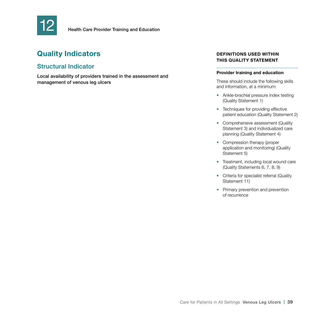

# **Quality Indicators**

## Structural Indicator

Local availability of providers trained in the assessment and management of venous leg ulcers

#### **DEFINITIONS USED WITHIN THIS QUALITY STATEMENT**

#### **Provider training and education**

These should include the following skills and information, at a minimum:

- Ankle-brachial pressure index testing (Quality Statement 1)
- Techniques for providing effective patient education (Quality Statement 2)
- Comprehensive assessment (Quality Statement 3) and individualized care planning (Quality Statement 4)
- Compression therapy (proper application and monitoring) (Quality Statement 5)
- Treatment, including local wound care (Quality Statements 6, 7, 8, 9)
- Criteria for specialist referral (Quality Statement 11)
- Primary prevention and prevention of recurrence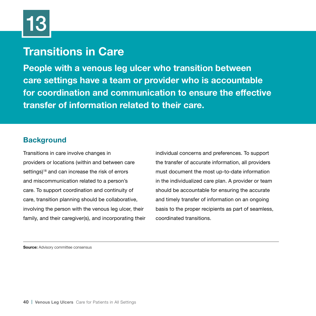# **Transitions in Care**

**People with a venous leg ulcer who transition between care settings have a team or provider who is accountable for coordination and communication to ensure the effective transfer of information related to their care.**

## **Background**

Transitions in care involve changes in providers or locations (within and between care settings)<sup>18</sup> and can increase the risk of errors and miscommunication related to a person's care. To support coordination and continuity of care, transition planning should be collaborative, involving the person with the venous leg ulcer, their family, and their caregiver(s), and incorporating their

individual concerns and preferences. To support the transfer of accurate information, all providers must document the most up-to-date information in the individualized care plan. A provider or team should be accountable for ensuring the accurate and timely transfer of information on an ongoing basis to the proper recipients as part of seamless, coordinated transitions.

**Source:** Advisory committee consensus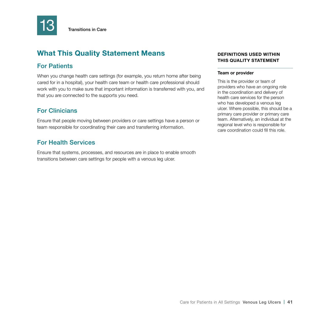

## For Patients

When you change health care settings (for example, you return home after being cared for in a hospital), your health care team or health care professional should work with you to make sure that important information is transferred with you, and that you are connected to the supports you need.

## For Clinicians

Ensure that people moving between providers or care settings have a person or team responsible for coordinating their care and transferring information.

## For Health Services

Ensure that systems, processes, and resources are in place to enable smooth transitions between care settings for people with a venous leg ulcer.

### **DEFINITIONS USED WITHIN THIS QUALITY STATEMENT**

#### **Team or provider**

This is the provider or team of providers who have an ongoing role in the coordination and delivery of health care services for the person who has developed a venous leg ulcer. Where possible, this should be a primary care provider or primary care team. Alternatively, an individual at the regional level who is responsible for care coordination could fill this role.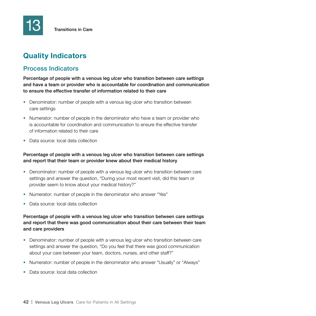# **Quality Indicators**

### Process Indicators

Percentage of people with a venous leg ulcer who transition between care settings and have a team or provider who is accountable for coordination and communication to ensure the effective transfer of information related to their care

- Denominator: number of people with a venous leg ulcer who transition between care settings
- Numerator: number of people in the denominator who have a team or provider who is accountable for coordination and communication to ensure the effective transfer of information related to their care
- Data source: local data collection

#### Percentage of people with a venous leg ulcer who transition between care settings and report that their team or provider knew about their medical history

- Denominator: number of people with a venous leg ulcer who transition between care settings and answer the question, "During your most recent visit, did this team or provider seem to know about your medical history?"
- Numerator: number of people in the denominator who answer "Yes"
- Data source: local data collection

#### Percentage of people with a venous leg ulcer who transition between care settings and report that there was good communication about their care between their team and care providers

- Denominator: number of people with a venous leg ulcer who transition between care settings and answer the question, "Do you feel that there was good communication about your care between your team, doctors, nurses, and other staff?"
- Numerator: number of people in the denominator who answer "Usually" or "Always"
- Data source: local data collection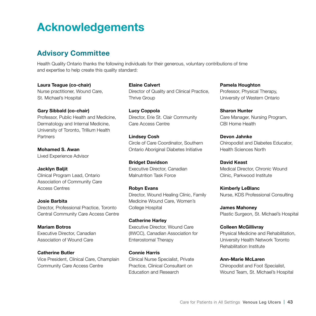# **Acknowledgements**

## **Advisory Committee**

Health Quality Ontario thanks the following individuals for their generous, voluntary contributions of time and expertise to help create this quality standard:

**Laura Teague (co-chair)** Nurse practitioner, Wound Care, St. Michael's Hospital

**Gary Sibbald (co-chair)** Professor, Public Health and Medicine, Dermatology and Internal Medicine,

University of Toronto, Trillium Health **Partners** 

**Mohamed S. Awan** Lived Experience Advisor

**Jacklyn Baljit** Clinical Program Lead, Ontario Association of Community Care Access Centres

**Josie Barbita** Director, Professional Practice, Toronto Central Community Care Access Centre

**Mariam Botros** Executive Director, Canadian Association of Wound Care

**Catherine Butler** Vice President, Clinical Care, Champlain Community Care Access Centre

**Elaine Calvert** Director of Quality and Clinical Practice, Thrive Group

**Lucy Coppola** Director, Erie St. Clair Community Care Access Centre

**Lindsey Cosh** Circle of Care Coordinator, Southern Ontario Aboriginal Diabetes Initiative

**Bridget Davidson** Executive Director, Canadian Malnutrition Task Force

**Robyn Evans** Director, Wound Healing Clinic, Family Medicine Wound Care, Women's College Hospital

**Catherine Harley** Executive Director, Wound Care (IIWCC), Canadian Association for Enterostomal Therapy

**Connie Harris** Clinical Nurse Specialist, Private Practice, Clinical Consultant on Education and Research

**Pamela Houghton** Professor, Physical Therapy, University of Western Ontario

**Sharon Hunter** Care Manager, Nursing Program, CBI Home Health

**Devon Jahnke** Chiropodist and Diabetes Educator, Health Sciences North

**David Keast** Medical Director, Chronic Wound Clinic, Parkwood Institute

**Kimberly LeBlanc** Nurse, KDS Professional Consulting

**James Mahoney** Plastic Surgeon, St. Michael's Hospital

**Colleen McGillivray** Physical Medicine and Rehabilitation, University Health Network Toronto Rehabilitation Institute

**Ann-Marie McLaren** Chiropodist and Foot Specialist, Wound Team, St. Michael's Hospital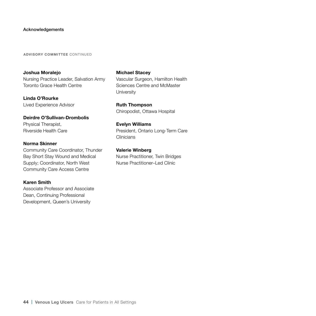#### Acknowledgements

**ADVISORY COMMITTEE** CONTINUED

**Joshua Moralejo** Nursing Practice Leader, Salvation Army Toronto Grace Health Centre

**Linda O'Rourke** Lived Experience Advisor

**Deirdre O'Sullivan-Drombolis** Physical Therapist, Riverside Health Care

#### **Norma Skinner**

Community Care Coordinator, Thunder Bay Short Stay Wound and Medical Supply; Coordinator, North West Community Care Access Centre

#### **Karen Smith**

Associate Professor and Associate Dean, Continuing Professional Development, Queen's University

**Michael Stacey** Vascular Surgeon, Hamilton Health Sciences Centre and McMaster University

**Ruth Thompson** Chiropodist, Ottawa Hospital

**Evelyn Williams** President, Ontario Long-Term Care **Clinicians** 

**Valerie Winberg** Nurse Practitioner, Twin Bridges Nurse Practitioner–Led Clinic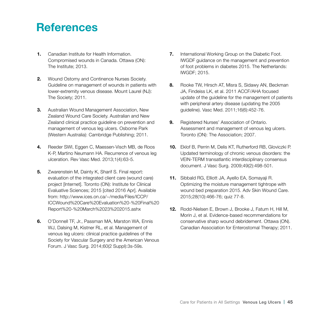# **References**

- **1.** Canadian Institute for Health Information. Compromised wounds in Canada. Ottawa (ON): The Institute; 2013.
- **2.** Wound Ostomy and Continence Nurses Society. Guideline on management of wounds in patients with lower-extremity venous disease. Mount Laurel (NJ): The Society; 2011.
- **3.** Australian Wound Management Association, New Zealand Wound Care Society. Australian and New Zealand clinical practice guideline on prevention and management of venous leg ulcers. Osborne Park (Western Australia): Cambridge Publishing; 2011.
- **4.** Reeder SWI, Eggen C, Maessen-Visch MB, de Roos K-P, Martino Neumann HA. Recurrence of venous leg ulceration. Rev Vasc Med. 2013;1(4):63-5.
- **5.** Zwarenstein M, Dainty K, Sharif S. Final report: evaluation of the integrated client care (wound care) project [Internet]. Toronto (ON): Institute for Clinical Evaluative Sciences; 2015 [cited 2016 Apr]. Available from: http://www.ices.on.ca/~/media/Files/ICCP/ ICCWound%20Care%20Evaluation%20-%20Final%20 Report%20-%20March%2023%202015.ashx
- **6.** O'Donnell TF, Jr., Passman MA, Marston WA, Ennis WJ, Dalsing M, Kistner RL, et al. Management of venous leg ulcers: clinical practice guidelines of the Society for Vascular Surgery and the American Venous Forum. J Vasc Surg. 2014;60(2 Suppl):3s-59s.
- **7.** International Working Group on the Diabetic Foot. IWGDF guidance on the management and prevention of foot problems in diabetes 2015. The Netherlands: IWGDF; 2015.
- **8.** Rooke TW, Hirsch AT, Misra S, Sidawy AN, Beckman JA, Findeiss LK, et al. 2011 ACCF/AHA focused update of the guideline for the management of patients with peripheral artery disease (updating the 2005 guideline). Vasc Med. 2011;16(6):452-76.
- **9.** Registered Nurses' Association of Ontario. Assessment and management of venous leg ulcers. Toronto (ON): The Association; 2007.
- **10.** Eklof B, Perrin M, Delis KT, Rutherford RB, Gloviczki P. Updated terminology of chronic venous disorders: the VEIN-TERM transatlantic interdisciplinary consensus document. J Vasc Surg. 2009;49(2):498-501.
- **11.** Sibbald RG, Elliott JA, Ayello EA, Somayaji R. Optimizing the moisture management tightrope with wound bed preparation 2015. Adv Skin Wound Care. 2015;28(10):466-76; quiz 77-8.
- **12.** Rodd-Nielsen E, Brown J, Brooke J, Fatum H, Hill M, Morin J, et al. Evidence-based recommendations for conservative sharp wound debridement. Ottawa (ON). Canadian Association for Enterostomal Therapy; 2011.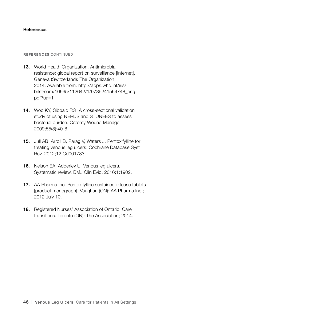#### **References**

#### **REFERENCES** CONTINUED

- **13.** World Health Organization. Antimicrobial resistance: global report on surveillance [Internet]. Geneva (Switzerland): The Organization; 2014. Available from: http://apps.who.int/iris/ bitstream/10665/112642/1/9789241564748\_eng. pdf?ua=1
- **14.** Woo KY, Sibbald RG. A cross-sectional validation study of using NERDS and STONEES to assess bacterial burden. Ostomy Wound Manage. 2009;55(8):40-8.
- **15.** Jull AB, Arroll B, Parag V, Waters J. Pentoxifylline for treating venous leg ulcers. Cochrane Database Syst Rev. 2012;12:Cd001733.
- **16.** Nelson EA, Adderley U. Venous leg ulcers. Systematic review. BMJ Clin Evid. 2016;1:1902.
- **17.** AA Pharma Inc. Pentoxifylline sustained-release tablets [product monograph]. Vaughan (ON): AA Pharma Inc.; 2012 July 10.
- **18.** Registered Nurses' Association of Ontario. Care transitions. Toronto (ON): The Association; 2014.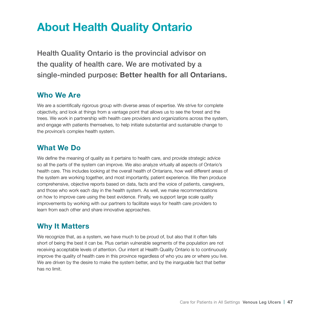# **About Health Quality Ontario**

Health Quality Ontario is the provincial advisor on the quality of health care. We are motivated by a single-minded purpose: **Better health for all Ontarians.**

## **Who We Are**

We are a scientifically rigorous group with diverse areas of expertise. We strive for complete objectivity, and look at things from a vantage point that allows us to see the forest and the trees. We work in partnership with health care providers and organizations across the system, and engage with patients themselves, to help initiate substantial and sustainable change to the province's complex health system.

## **What We Do**

We define the meaning of quality as it pertains to health care, and provide strategic advice so all the parts of the system can improve. We also analyze virtually all aspects of Ontario's health care. This includes looking at the overall health of Ontarians, how well different areas of the system are working together, and most importantly, patient experience. We then produce comprehensive, objective reports based on data, facts and the voice of patients, caregivers, and those who work each day in the health system. As well, we make recommendations on how to improve care using the best evidence. Finally, we support large scale quality improvements by working with our partners to facilitate ways for health care providers to learn from each other and share innovative approaches.

## **Why It Matters**

We recognize that, as a system, we have much to be proud of, but also that it often falls short of being the best it can be. Plus certain vulnerable segments of the population are not receiving acceptable levels of attention. Our intent at Health Quality Ontario is to continuously improve the quality of health care in this province regardless of who you are or where you live. We are driven by the desire to make the system better, and by the inarguable fact that better has no limit.